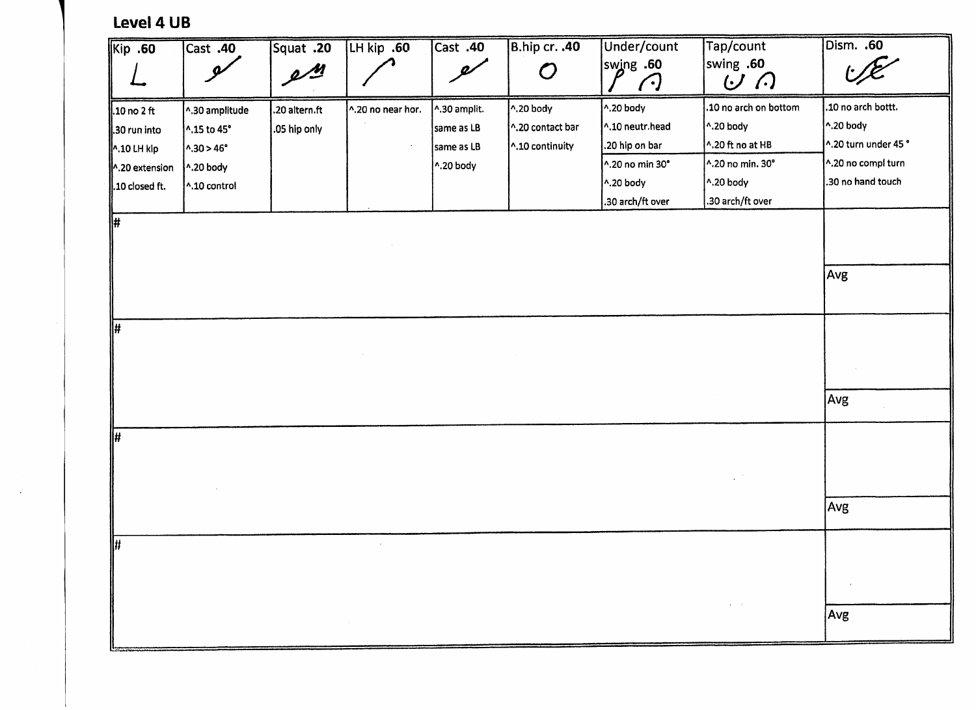## **Level 4 UB**

t de la factation de la constantin de la factation de la position de la factation de la factation de la factat<br>Liggi de la factation de la constantin de la factation de la factation de la factation de la factation de la f

| Kip .60         | $\overline{\text{Cast}}$ .40 | Squat .20         | LH kip .60        | Cast .40                   | B.hip cr. .40              | Under/count            | Tap/count             | Dism. .60            |
|-----------------|------------------------------|-------------------|-------------------|----------------------------|----------------------------|------------------------|-----------------------|----------------------|
|                 | $\boldsymbol{\varphi}$       | $2^{\frac{M}{2}}$ |                   | $\boldsymbol{\mathscr{Q}}$ | $\boldsymbol{\mathcal{O}}$ | swing .60<br>$\bigcap$ | swing .60<br>しい       |                      |
| $.10$ no $2$ ft | ^.30 amplitude               | .20 altern.ft     | ^.20 no near hor. | ^.30 amplit.               | $\sim$ .20 body            | ^.20 body              | .10 no arch on bottom | .10 no arch bottt.   |
| 30 run into     | 1.15 to 45°                  | .05 hip only      |                   | same as LB                 | ^.20 contact bar           | ^.10 neutr.head        | $^{\wedge}$ .20 body  | ^.20 body            |
| 1.10 LH kip     | $\sim 30 > 46^{\circ}$       |                   |                   | same as LB                 | ^.10 continuity            | .20 hip on bar         | ^.20 ft no at HB      | ^.20 turn under 45 ° |
| 1.20 extension  | $\wedge$ .20 body            |                   |                   | ^.20 body                  |                            | ^.20 no min 30°        | ^.20 no min. 30°      | ^.20 no compl turn   |
| .10 closed ft.  | ^.10 control                 |                   |                   |                            |                            | ^.20 body              | ^.20 body             | .30 no hand touch    |
|                 |                              |                   |                   |                            |                            | .30 arch/ft over       | .30 arch/ft over      |                      |
| $\Vert \sharp$  |                              |                   |                   |                            |                            |                        |                       |                      |
|                 |                              |                   |                   |                            |                            |                        |                       | Avg                  |
| #               |                              |                   |                   |                            |                            |                        |                       |                      |
|                 |                              |                   |                   |                            |                            |                        |                       |                      |
|                 |                              |                   |                   |                            |                            |                        |                       | Avg                  |
| ∥#              |                              |                   |                   |                            |                            |                        |                       |                      |
|                 |                              |                   |                   |                            |                            |                        |                       |                      |
|                 |                              |                   |                   |                            |                            |                        |                       | Avg                  |
| ₩               |                              |                   | $\mathcal{L}$     |                            |                            |                        |                       |                      |
|                 |                              |                   |                   |                            |                            |                        |                       |                      |
|                 |                              |                   |                   |                            |                            |                        |                       | Avg                  |

— —'" —'-^—' ' • — —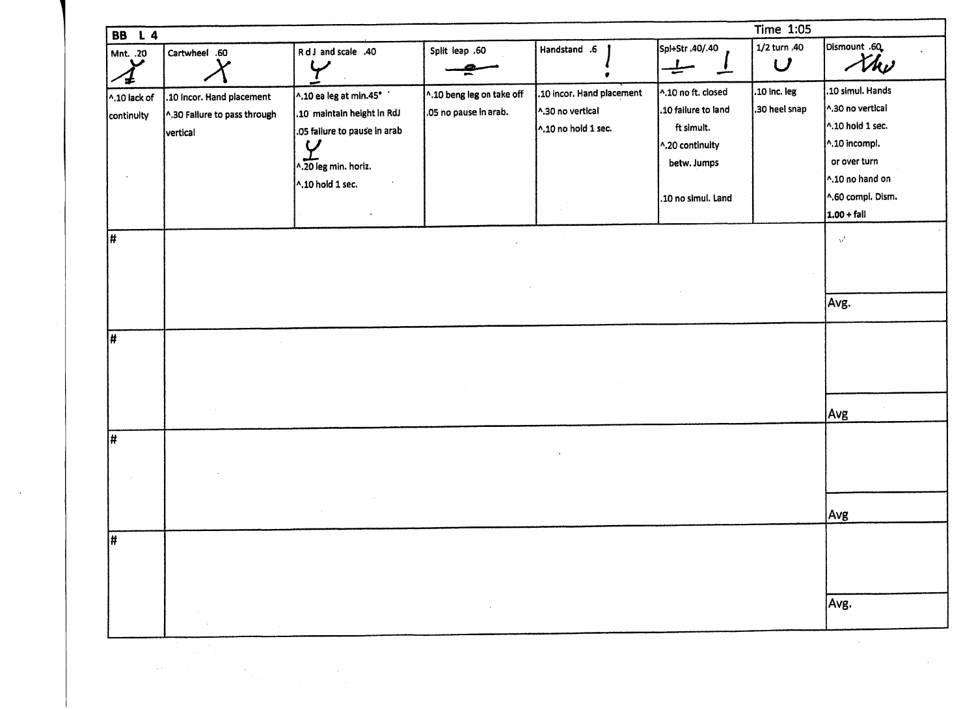| <b>BB</b> L 4                        |                                                                       |                                                                                                                                                                 |                                                    |                                                                      |                                                                                                                 | <b>Time 1:05</b>                           |                                                                                                                                                         |
|--------------------------------------|-----------------------------------------------------------------------|-----------------------------------------------------------------------------------------------------------------------------------------------------------------|----------------------------------------------------|----------------------------------------------------------------------|-----------------------------------------------------------------------------------------------------------------|--------------------------------------------|---------------------------------------------------------------------------------------------------------------------------------------------------------|
| Mnt. .20                             | Cartwheel .60                                                         | RdJ and scale .40<br>Y                                                                                                                                          | Split leap .60                                     | Handstand .6                                                         | Spl+Str .40/.40<br>$\overline{\phantom{a}}$                                                                     | 1/2 turn .40<br>$\boldsymbol{\mathcal{U}}$ | Dismount .60<br>the                                                                                                                                     |
| $\bigwedge$ 10 lack of<br>continuity | .10 Incor. Hand placement<br>^.30 Failure to pass through<br>vertical | ^.10 ea leg at min.45°<br>.10 maintain height in RdJ<br>.05 failure to pause in arab<br>$\bm{\varphi}$<br>^.20 leg min. horiz.<br>^.10 hold 1 sec.<br>$\bullet$ | 1.10 beng leg on take off<br>.05 no pause in arab. | .10 incor. Hand placement<br>^.30 no vertical<br>1.10 no hold 1 sec. | ^.10 no ft. closed<br>.10 failure to land<br>ft simult.<br>^.20 continuity<br>betw. Jumps<br>.10 no simul. Land | .10 inc. leg<br>.30 heel snap              | .10 simul. Hands<br>^.30 no vertical<br>$\sim$ 10 hold 1 sec.<br>^.10 incompl.<br>or over turn<br>1.10 no hand on<br>^.60 compl. Dism.<br>$1.00 + fall$ |
| #                                    |                                                                       |                                                                                                                                                                 |                                                    |                                                                      |                                                                                                                 |                                            | $\sqrt{ }$                                                                                                                                              |
|                                      |                                                                       |                                                                                                                                                                 |                                                    |                                                                      |                                                                                                                 |                                            | Avg.                                                                                                                                                    |
| #                                    |                                                                       |                                                                                                                                                                 |                                                    |                                                                      |                                                                                                                 |                                            |                                                                                                                                                         |
|                                      |                                                                       |                                                                                                                                                                 |                                                    |                                                                      |                                                                                                                 |                                            | Avg                                                                                                                                                     |
| Ħ,                                   |                                                                       |                                                                                                                                                                 |                                                    |                                                                      |                                                                                                                 |                                            |                                                                                                                                                         |
|                                      |                                                                       |                                                                                                                                                                 |                                                    |                                                                      |                                                                                                                 |                                            | Avg                                                                                                                                                     |
| Ħ,                                   |                                                                       |                                                                                                                                                                 |                                                    |                                                                      |                                                                                                                 |                                            |                                                                                                                                                         |
|                                      |                                                                       |                                                                                                                                                                 | $\sim$                                             |                                                                      |                                                                                                                 |                                            | Avg.                                                                                                                                                    |
|                                      | that is                                                               |                                                                                                                                                                 |                                                    |                                                                      |                                                                                                                 |                                            |                                                                                                                                                         |

 $\sim$